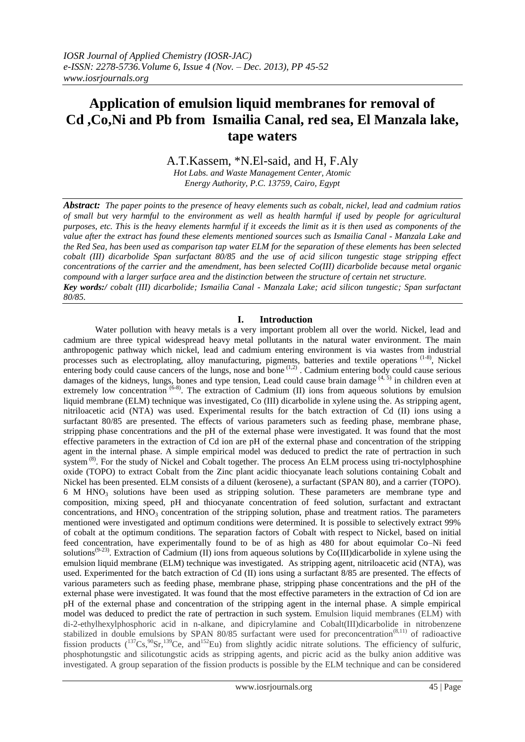# **Application of emulsion liquid membranes for removal of Cd ,Co,Ni and Pb from Ismailia Canal, red sea, El Manzala lake, tape waters**

A.T.Kassem, \*N.El-said, and H, F.Aly

*Hot Labs. and Waste Management Center, Atomic Energy Authority, P.C. 13759, Cairo, Egypt*

*Abstract: The paper points to the presence of heavy elements such as cobalt, nickel, lead and cadmium ratios of small but very harmful to the environment as well as health harmful if used by people for agricultural purposes, etc. This is the heavy elements harmful if it exceeds the limit as it is then used as components of the value after the extract has found these elements mentioned sources such as Ismailia Canal - Manzala Lake and the Red Sea, has been used as comparison tap water ELM for the separation of these elements has been selected cobalt (III) dicarbolide Span surfactant 80/85 and the use of acid silicon tungestic stage stripping effect concentrations of the carrier and the amendment, has been selected Co(III) dicarbolide because metal organic compound with a larger surface area and the distinction between the structure of certain net structure. Key words:/ cobalt (III) dicarbolide; Ismailia Canal - Manzala Lake; acid silicon tungestic; Span surfactant 80/85.*

# **I. Introduction**

Water pollution with heavy metals is a very important problem all over the world. Nickel, lead and cadmium are three typical widespread heavy metal pollutants in the natural water environment. The main anthropogenic pathway which nickel, lead and cadmium entering environment is via wastes from industrial processes such as electroplating, alloy manufacturing, pigments, batteries and textile operations (1-8), Nickel entering body could cause cancers of the lungs, nose and bone  $(1,2)$ . Cadmium entering body could cause serious damages of the kidneys, lungs, bones and type tension, Lead could cause brain damage  $(4, 5)$  in children even at extremely low concentration <sup>(6-8)</sup>. The extraction of Cadmium (II) ions from aqueous solutions by emulsion liquid membrane (ELM) technique was investigated, Co (III) dicarbolide in xylene using the. As stripping agent, nitriloacetic acid (NTA) was used. Experimental results for the batch extraction of Cd (II) ions using a surfactant 80/85 are presented. The effects of various parameters such as feeding phase, membrane phase, stripping phase concentrations and the pH of the external phase were investigated. It was found that the most effective parameters in the extraction of Cd ion are pH of the external phase and concentration of the stripping agent in the internal phase. A simple empirical model was deduced to predict the rate of pertraction in such system<sup>(8)</sup>. For the study of Nickel and Cobalt together. The process An ELM process using tri-noctylphosphine oxide (TOPO) to extract Cobalt from the Zinc plant acidic thiocyanate leach solutions containing Cobalt and Nickel has been presented. ELM consists of a diluent (kerosene), a surfactant (SPAN 80), and a carrier (TOPO). 6 M HNO<sup>3</sup> solutions have been used as stripping solution. These parameters are membrane type and composition, mixing speed, pH and thiocyanate concentration of feed solution, surfactant and extractant concentrations, and  $HNO<sub>3</sub>$  concentration of the stripping solution, phase and treatment ratios. The parameters mentioned were investigated and optimum conditions were determined. It is possible to selectively extract 99% of cobalt at the optimum conditions. The separation factors of Cobalt with respect to Nickel, based on initial feed concentration, have experimentally found to be of as high as 480 for about equimolar Co–Ni feed solutions<sup>(9-23)</sup>. Extraction of Cadmium (II) ions from aqueous solutions by Co(III)dicarbolide in xylene using the emulsion liquid membrane (ELM) technique was investigated. As stripping agent, nitriloacetic acid (NTA), was used. Experimented for the batch extraction of Cd (II) ions using a surfactant 8/85 are presented. The effects of various parameters such as feeding phase, membrane phase, stripping phase concentrations and the pH of the external phase were investigated. It was found that the most effective parameters in the extraction of Cd ion are pH of the external phase and concentration of the stripping agent in the internal phase. A simple empirical model was deduced to predict the rate of pertraction in such system. Emulsion liquid membranes (ELM) with di-2-ethylhexylphosphoric acid in n-alkane, and dipicrylamine and Cobalt(III)dicarbolide in nitrobenzene stabilized in double emulsions by SPAN 80/85 surfactant were used for preconcentration<sup>(8,11)</sup> of radioactive fission products  $(^{137}Cs, ^{90}Sr, ^{139}Ce,$  and  $^{152}Eu$ ) from slightly acidic nitrate solutions. The efficiency of sulfuric, phosphotungstic and silicotungstic acids as stripping agents, and picric acid as the bulky anion additive was investigated. A group separation of the fission products is possible by the ELM technique and can be considered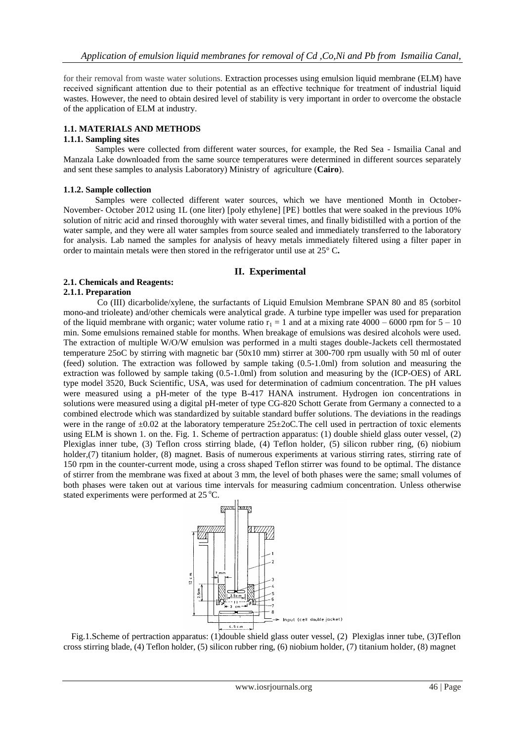for their removal from waste water solutions. Extraction processes using emulsion liquid membrane (ELM) have received significant attention due to their potential as an effective technique for treatment of industrial liquid wastes. However, the need to obtain desired level of stability is very important in order to overcome the obstacle of the application of ELM at industry.

# **1.1. MATERIALS AND METHODS**

### **1.1.1. Sampling sites**

Samples were collected from different water sources, for example, the Red Sea - Ismailia Canal and Manzala Lake downloaded from the same source temperatures were determined in different sources separately and sent these samples to analysis Laboratory) Ministry of agriculture (**Cairo**).

#### **1.1.2. Sample collection**

Samples were collected different water sources, which we have mentioned Month in October-November- October 2012 using 1L (one liter) [poly ethylene] [PE} bottles that were soaked in the previous 10% solution of nitric acid and rinsed thoroughly with water several times, and finally bidistilled with a portion of the water sample, and they were all water samples from source sealed and immediately transferred to the laboratory for analysis. Lab named the samples for analysis of heavy metals immediately filtered using a filter paper in order to maintain metals were then stored in the refrigerator until use at 25° C**.**

#### **II. Experimental**

# **2.1. Chemicals and Reagents:**

#### **2.1.1. Preparation**

 Co (III) dicarbolide/xylene, the surfactants of Liquid Emulsion Membrane SPAN 80 and 85 (sorbitol mono-and trioleate) and/other chemicals were analytical grade. A turbine type impeller was used for preparation of the liquid membrane with organic; water volume ratio  $r_1 = 1$  and at a mixing rate 4000 – 6000 rpm for  $5 - 10$ min. Some emulsions remained stable for months. When breakage of emulsions was desired alcohols were used. The extraction of multiple W/O/W emulsion was performed in a multi stages double-Jackets cell thermostated temperature 25oC by stirring with magnetic bar (50x10 mm) stirrer at 300-700 rpm usually with 50 ml of outer (feed) solution. The extraction was followed by sample taking (0.5-1.0ml) from solution and measuring the extraction was followed by sample taking (0.5-1.0ml) from solution and measuring by the (ICP-OES) of ARL type model 3520, Buck Scientific, USA, was used for determination of cadmium concentration. The pH values were measured using a pH-meter of the type B-417 HANA instrument. Hydrogen ion concentrations in solutions were measured using a digital pH-meter of type CG-820 Schott Gerate from Germany a connected to a combined electrode which was standardized by suitable standard buffer solutions. The deviations in the readings were in the range of  $\pm 0.02$  at the laboratory temperature 25 $\pm 2$ oC. The cell used in pertraction of toxic elements using ELM is shown 1. on the. Fig. 1. Scheme of pertraction apparatus: (1) double shield glass outer vessel, (2) Plexiglas inner tube, (3) Teflon cross stirring blade, (4) Teflon holder, (5) silicon rubber ring, (6) niobium holder, (7) titanium holder, (8) magnet. Basis of numerous experiments at various stirring rates, stirring rate of 150 rpm in the counter-current mode, using a cross shaped Teflon stirrer was found to be optimal. The distance of stirrer from the membrane was fixed at about 3 mm, the level of both phases were the same; small volumes of both phases were taken out at various time intervals for measuring cadmium concentration. Unless otherwise stated experiments were performed at  $25^{\circ}$ C.



Fig.1.Scheme of pertraction apparatus: (1)double shield glass outer vessel, (2) Plexiglas inner tube, (3)Teflon cross stirring blade, (4) Teflon holder, (5) silicon rubber ring, (6) niobium holder, (7) titanium holder, (8) magnet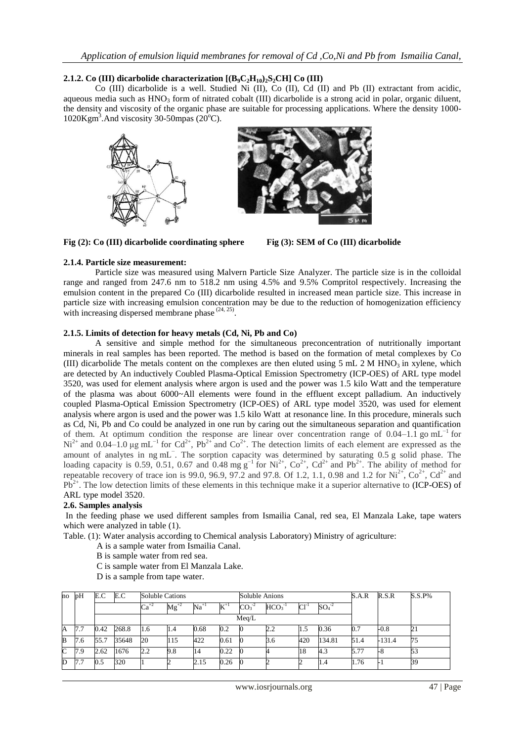# **2.1.2.** Co (III) dicarbolide characterization  $[(B_9C_2H_{10})_2S_2CH]$  Co (III)

Co (III) dicarbolide is a well. Studied Ni (II), Co (II), Cd (II) and Pb (II) extractant from acidic, aqueous media such as  $HNO<sub>3</sub>$  form of nitrated cobalt (III) dicarbolide is a strong acid in polar, organic diluent, the density and viscosity of the organic phase are suitable for processing applications. Where the density 1000-  $1020$ Kgm<sup>3</sup>. And viscosity 30-50mpas (20 $^{\circ}$ C).





**Fig (2): Co (III) dicarbolide coordinating sphere Fig (3): SEM of Co (III) dicarbolide**

#### **2.1.4. Particle size measurement:**

Particle size was measured using Malvern Particle Size Analyzer. The particle size is in the colloidal range and ranged from 247.6 nm to 518.2 nm using 4.5% and 9.5% Compritol respectively. Increasing the emulsion content in the prepared Co (III) dicarbolide resulted in increased mean particle size. This increase in particle size with increasing emulsion concentration may be due to the reduction of homogenization efficiency with increasing dispersed membrane phase  $(24, 25)$ .

# **2.1.5. Limits of detection for heavy metals (Cd, Ni, Pb and Co)**

A sensitive and simple method for the simultaneous preconcentration of nutritionally important minerals in real samples has been reported. The method is based on the formation of metal complexes by Co (III) dicarbolide The metals content on the complexes are then eluted using 5 mL 2 M HNO<sub>3</sub> in xylene, which are detected by An inductively Coubled Plasma-Optical Emission Spectrometry (ICP-OES) of ARL type model 3520, was used for element analysis where argon is used and the power was 1.5 kilo Watt and the temperature of the plasma was about 6000~All elements were found in the effluent except palladium. An inductively coupled Plasma-Optical Emission Spectrometry (ICP-OES) of ARL type model 3520, was used for element analysis where argon is used and the power was 1.5 kilo Watt at resonance line. In this procedure, minerals such as Cd, Ni, Pb and Co could be analyzed in one run by caring out the simultaneous separation and quantification of them. At optimum condition the response are linear over concentration range of 0.04–1.1 go mL<sup>-1</sup> for  $Ni^{2+}$  and 0.04–1.0 µg mL<sup>-1</sup> for Cd<sup>2+</sup>, Pb<sup>2+</sup> and Co<sup>2+</sup>. The detection limits of each element are expressed as the amount of analytes in ng mL<sup>−</sup> . The sorption capacity was determined by saturating 0.5 g solid phase. The loading capacity is 0.59, 0.51, 0.67 and 0.48 mg  $g^{-1}$  for Ni<sup>2+</sup>, Co<sup>2+</sup>, Cd<sup>2+</sup> and Pb<sup>2+</sup>. The ability of method for repeatable recovery of trace ion is 99.0, 96.9, 97.2 and 97.8. Of 1.2, 1.1, 0.98 and 1.2 for  $Ni^{2+}$ ,  $Co^{2+}$ ,  $Cd^{2+}$  and  $Pb^{2+}$ . The low detection limits of these elements in this technique make it a superior alternative to (ICP-OES) of ARL type model 3520.

# **2.6. Samples analysis**

In the feeding phase we used different samples from Ismailia Canal, red sea, El Manzala Lake, tape waters which were analyzed in table (1).

Table. (1): Water analysis according to Chemical analysis Laboratory) Ministry of agriculture:

- A is a sample water from Ismailia Canal.
- B is sample water from red sea.
- C is sample water from El Manzala Lake.
- D is a sample from tape water.

| no | pH  | E.C  | E.C   | <b>Soluble Cations</b> |           |               |              | Soluble Anions |          |           |         | S.A.R | R.S.R    | $S.S.P\%$ |
|----|-----|------|-------|------------------------|-----------|---------------|--------------|----------------|----------|-----------|---------|-------|----------|-----------|
|    |     |      |       | $Ca^{+2}$              | $Mg^{+2}$ | $\rm Na^{+1}$ | $\rm K^{+1}$ | $CO3-2$        | $HCO3-1$ | $Cl^{-1}$ | $SO4-2$ |       |          |           |
|    |     |      | Meq/L |                        |           |               |              |                |          |           |         |       |          |           |
| A  | 7.7 | 0.42 | 268.8 | 1.6                    | 1.4       | 0.68          | 0.2          | Ю              | 2.2      | 1.5       | 0.36    | 0.7   | -0.8     | 21        |
| B  | 7.6 | 55.7 | 35648 | 20                     | 115       | 422           | 0.61         | Ю              | 3.6      | 420       | 134.81  | 51.4  | $-131.4$ | 75        |
| C  | 7.9 | 2.62 | 1676  | 2.2                    | 9.8       | 14            | 0.22         | Ю              |          | 18        | 4.3     | 5.77  | -8       | 53        |
| D  | 7.7 | 0.5  | 320   |                        |           | 2.15          | 0.26         | О              |          |           | 1.4     | 1.76  |          | 39        |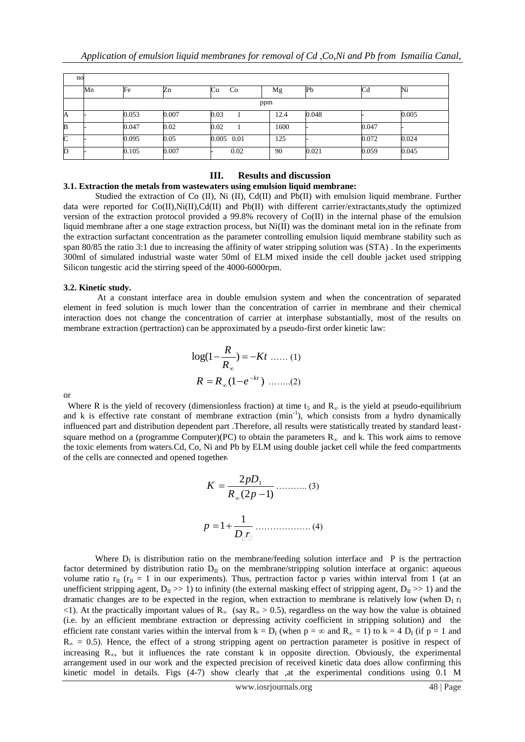| no           |     |       |       |            |      |       |       |       |  |  |  |  |
|--------------|-----|-------|-------|------------|------|-------|-------|-------|--|--|--|--|
|              | Mn  | Fe    | Zn    | Cu<br>Co   | Mg   | Pb    | Cd    | Ni    |  |  |  |  |
|              | ppm |       |       |            |      |       |       |       |  |  |  |  |
| A            |     | 0.053 | 0.007 | 0.03       | 12.4 | 0.048 |       | 0.005 |  |  |  |  |
| B            |     | 0.047 | 0.02  | 0.02       | 1600 |       | 0.047 |       |  |  |  |  |
| $\mathsf{C}$ |     | 0.095 | 0.05  | 0.005 0.01 | 125  |       | 0.072 | 0.024 |  |  |  |  |
| D            |     | 0.105 | 0.007 | 0.02       | 90   | 0.021 | 0.059 | 0.045 |  |  |  |  |

# **III. Results and discussion**

#### **3.1. Extraction the metals from wastewaters using emulsion liquid membrane:**

Studied the extraction of Co (II), Ni (II), Cd(II) and Pb(II) with emulsion liquid membrane. Further data were reported for Co(II),Ni(II),Cd(II) and Pb(II) with different carrier/extractants,study the optimized version of the extraction protocol provided a 99.8% recovery of Co(II) in the internal phase of the emulsion liquid membrane after a one stage extraction process, but Ni(II) was the dominant metal ion in the refinate from the extraction surfactant concentration as the parameter controlling emulsion liquid membrane stability such as span 80/85 the ratio 3:1 due to increasing the affinity of water stripping solution was (STA) . In the experiments 300ml of simulated industrial waste water 50ml of ELM mixed inside the cell double jacket used stripping Silicon tungestic acid the stirring speed of the 4000-6000rpm.

#### **3.2. Kinetic study.**

At a constant interface area in double emulsion system and when the concentration of separated element in feed solution is much lower than the concentration of carrier in membrane and their chemical interaction does not change the concentration of carrier at interphase substantially, most of the results on membrane extraction (pertraction) can be approximated by a pseudo-first order kinetic law:

$$
\log(1 - \frac{R}{R_{\infty}}) = -Kt \dots (1)
$$
  

$$
R = R_{\infty}(1 - e^{-kt}) \dots (2)
$$

or

Where R is the yield of recovery (dimensionless fraction) at time  $t_5$  and  $R_\infty$  is the yield at pseudo-equilibrium and k is effective rate constant of membrane extraction (min<sup>-1</sup>), which consists from a hydro dynamically influenced part and distribution dependent part .Therefore, all results were statistically treated by standard leastsquare method on a (programme Computer)(PC) to obtain the parameters  $R_{\infty}$  and k. This work aims to remove the toxic elements from waters.Cd, Co, Ni and Pb by ELM using double jacket cell while the feed compartments of the cells are connected and opened together. ..

1 2 (2 1) *pD <sup>K</sup> R p* ……….. (3) 1 *p* 1 *D r* ………………. (4)

Where  $D_I$  is distribution ratio on the membrane/feeding solution interface and  $P$  is the pertraction factor determined by distribution ratio  $D_{II}$  on the membrane/stripping solution interface at organic: aqueous volume ratio  $r_{II}$  ( $r_{II} = 1$  in our experiments). Thus, pertraction factor p varies within interval from 1 (at an unefficient stripping agent,  $D_{II} >> 1$ ) to infinity (the external masking effect of stripping agent,  $D_{II} >> 1$ ) and the dramatic changes are to be expected in the region, when extraction to membrane is relatively low (when  $D_1 r_1$  $\langle$ 1). At the practically important values of R<sub>∞</sub> (say R<sub>∞</sub> > 0.5), regardless on the way how the value is obtained (i.e. by an efficient membrane extraction or depressing activity coefficient in stripping solution) and the efficient rate constant varies within the interval from  $k = D_1$  (when  $p = \infty$  and  $R_\infty = 1$ ) to  $k = 4$   $D_1$  (if  $p = 1$  and  $R_{\infty} = 0.5$ ). Hence, the effect of a strong stripping agent on pertraction parameter is positive in respect of increasing  $R_{\infty}$ , but it influences the rate constant k in opposite direction. Obviously, the experimental arrangement used in our work and the expected precision of received kinetic data does allow confirming this kinetic model in details. Figs (4-7) show clearly that ,at the experimental conditions using 0.1 M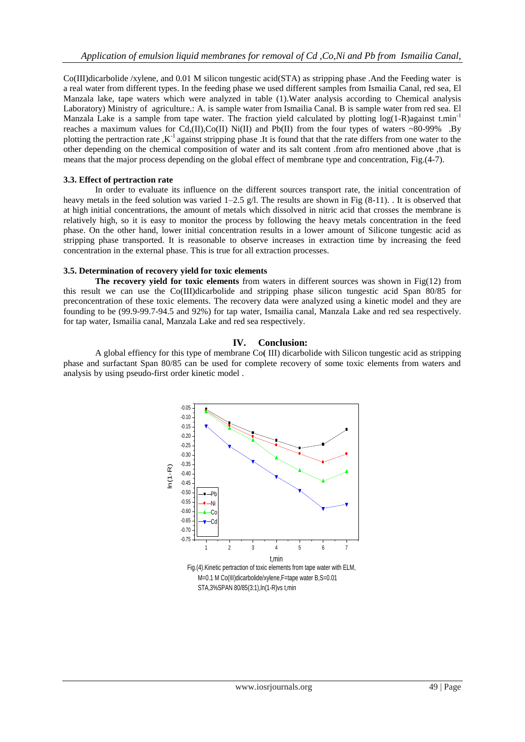Co(III)dicarbolide /xylene, and 0.01 M silicon tungestic acid(STA) as stripping phase .And the Feeding water is a real water from different types. In the feeding phase we used different samples from Ismailia Canal, red sea, El Manzala lake, tape waters which were analyzed in table (1).Water analysis according to Chemical analysis Laboratory) Ministry of agriculture.: A. is sample water from Ismailia Canal. B is sample water from red sea. El Manzala Lake is a sample from tape water. The fraction yield calculated by plotting  $log(1-R)$ against t.min<sup>-1</sup> reaches a maximum values for Cd,(II),Co(II) Ni(II) and Pb(II) from the four types of waters ~80-99% .By plotting the pertraction rate  $,K^{-1}$  against stripping phase. It is found that that the rate differs from one water to the other depending on the chemical composition of water and its salt content .from afro mentioned above ,that is means that the major process depending on the global effect of membrane type and concentration, Fig.(4-7).

# **3.3. Effect of pertraction rate**

In order to evaluate its influence on the different sources transport rate, the initial concentration of heavy metals in the feed solution was varied 1–2.5 g/l. The results are shown in Fig  $(8-11)$ . It is observed that at high initial concentrations, the amount of metals which dissolved in nitric acid that crosses the membrane is relatively high, so it is easy to monitor the process by following the heavy metals concentration in the feed phase. On the other hand, lower initial concentration results in a lower amount of Silicone tungestic acid as stripping phase transported. It is reasonable to observe increases in extraction time by increasing the feed concentration in the external phase. This is true for all extraction processes.

# **3.5. Determination of recovery yield for toxic elements**

**The recovery yield for toxic elements** from waters in different sources was shown in Fig(12) from this result we can use the Co(III)dicarbolide and stripping phase silicon tungestic acid Span 80/85 for preconcentration of these toxic elements. The recovery data were analyzed using a kinetic model and they are founding to be (99.9-99.7-94.5 and 92%) for tap water, Ismailia canal, Manzala Lake and red sea respectively. for tap water, Ismailia canal, Manzala Lake and red sea respectively.

# **IV. Conclusion:**

A global effiency for this type of membrane Co**)** III) dicarbolide with Silicon tungestic acid as stripping phase and surfactant Span 80/85 can be used for complete recovery of some toxic elements from waters and analysis by using pseudo-first order kinetic model .

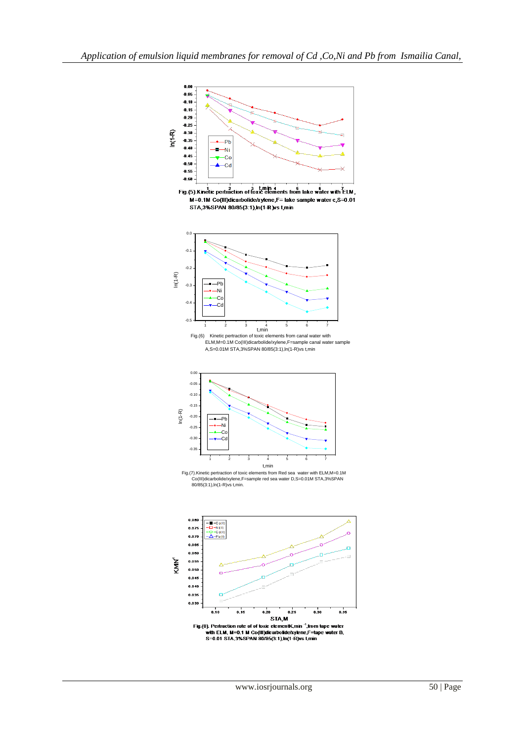

Fig.(5). Kinetic pertraction of toxic elements from lake water with  $\frac{7}{5}$  LM, M=0.1M Co(III)dicarbolide/xylene,F= lake sample water c,S=0.01 STA, 3% SPAN 80/85(3:1), In(1-R) vs t, min



Fig.(6) Kinetic pertraction of toxic elements from canal water with ELM,M=0.1M Co(III)dicarbolide/xylene,F=sample canal water sample A,S=0.01M STA,3%SPAN 80/85(3:1),ln(1-R)vs t,min



Fig.(7).Kinetic pertraction of toxic elements from Red sea water with ELM,M=0.1M Co(III)dicarbolide/xylene,F=sample red sea water D,S=0.01M STA,3%SPAN 80/85(3:1),ln(1-R)vs t,min.

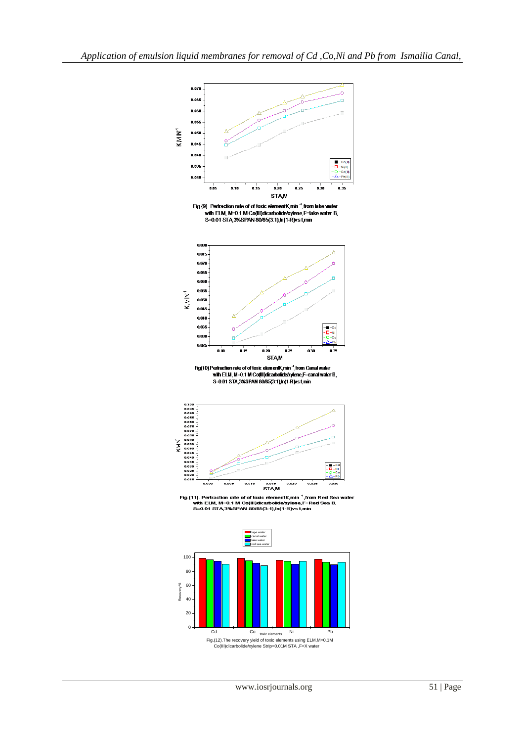

Fig.(9). Pertraction rate of of toxic elementK min<sup>-1</sup>, from lake water with ELM, M=0.1 M Co(III)dicarbolide/xylene. F=lake water B.<br>S=0.01 STA 3%SPAN 80/85(3:1), In(1-R)vs t, min



Fig(10)Pertraction rate of of toxic elementK,min ",from Canal water<br>with ELM, M=0.1 M Co(III)dicarbolide/xylene,F=canal water B<br>S=0.01 STA,3%SPAN 80/85(3:1),In(1-R)vs t,min



Fig.(11). Pertraction rate of of toxic elementK,min <sup>-1</sup>,from Red Sea water<br>with ELM, M=0.1 M Co(III)dicarbolide/xylene,F=Red Sea B,<br>S=0.01 STA,3%SPAN 80/85(3:1),In(1-R)vs t,min



Fig.(12).The recovery yield of toxic elements using ELM,M=0.1M Co(III)dicarbolide/xylene Strip=0.01M STA ,F=X water